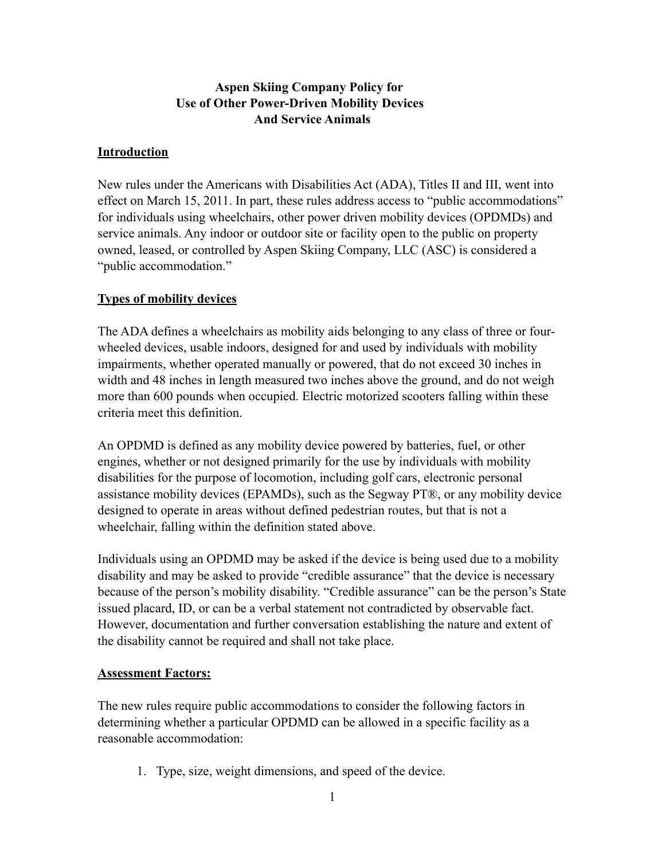# **Aspen Skiing Company Policy for Use of Other Power-Driven Mobility Devices And Service Animals**

#### **Introduction**

New rules under the Americans with Disabilities Act (ADA), Titles II and III, went into effect on March 15, 2011. In part, these rules address access to "public accommodations" for individuals using wheelchairs, other power driven mobility devices (OPDMDs) and service animals. Any indoor or outdoor site or facility open to the public on property owned, leased, or controlled by Aspen Skiing Company, LLC (ASC) is considered a "public accommodation."

## **Types of mobility devices**

The ADA defines a wheelchairs as mobility aids belonging to any class of three or fourwheeled devices, usable indoors, designed for and used by individuals with mobility impairments, whether operated manually or powered, that do not exceed 30 inches in width and 48 inches in length measured two inches above the ground, and do not weigh more than 600 pounds when occupied. Electric motorized scooters falling within these criteria meet this definition.

An OPDMD is defined as any mobility device powered by batteries, fuel, or other engines, whether or not designed primarily for the use by individuals with mobility disabilities for the purpose of locomotion, including golf cars, electronic personal assistance mobility devices (EPAMDs), such as the Segway PT®, or any mobility device designed to operate in areas without defined pedestrian routes, but that is not a wheelchair, falling within the definition stated above.

Individuals using an OPDMD may be asked if the device is being used due to a mobility disability and may be asked to provide "credible assurance" that the device is necessary because of the person's mobility disability. "Credible assurance" can be the person's State issued placard, ID, or can be a verbal statement not contradicted by observable fact. However, documentation and further conversation establishing the nature and extent of the disability cannot be required and shall not take place.

## **Assessment Factors:**

The new rules require public accommodations to consider the following factors in determining whether a particular OPDMD can be allowed in a specific facility as a reasonable accommodation:

1. Type, size, weight dimensions, and speed of the device.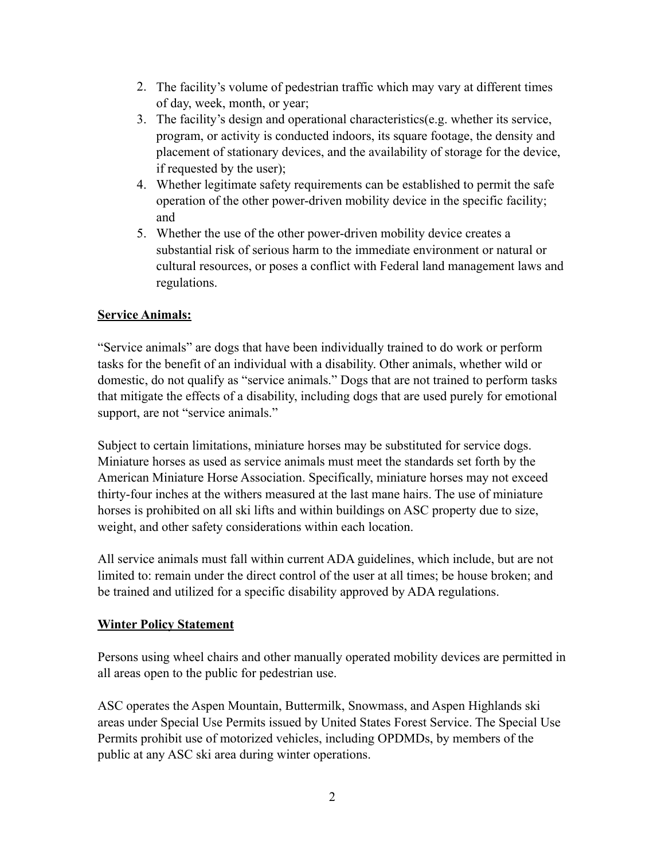- 2. The facility's volume of pedestrian traffic which may vary at different times of day, week, month, or year;
- 3. The facility's design and operational characteristics(e.g. whether its service, program, or activity is conducted indoors, its square footage, the density and placement of stationary devices, and the availability of storage for the device, if requested by the user);
- 4. Whether legitimate safety requirements can be established to permit the safe operation of the other power-driven mobility device in the specific facility; and
- 5. Whether the use of the other power-driven mobility device creates a substantial risk of serious harm to the immediate environment or natural or cultural resources, or poses a conflict with Federal land management laws and regulations.

# **Service Animals:**

"Service animals" are dogs that have been individually trained to do work or perform tasks for the benefit of an individual with a disability. Other animals, whether wild or domestic, do not qualify as "service animals." Dogs that are not trained to perform tasks that mitigate the effects of a disability, including dogs that are used purely for emotional support, are not "service animals."

Subject to certain limitations, miniature horses may be substituted for service dogs. Miniature horses as used as service animals must meet the standards set forth by the American Miniature Horse Association. Specifically, miniature horses may not exceed thirty-four inches at the withers measured at the last mane hairs. The use of miniature horses is prohibited on all ski lifts and within buildings on ASC property due to size, weight, and other safety considerations within each location.

All service animals must fall within current ADA guidelines, which include, but are not limited to: remain under the direct control of the user at all times; be house broken; and be trained and utilized for a specific disability approved by ADA regulations.

## **Winter Policy Statement**

Persons using wheel chairs and other manually operated mobility devices are permitted in all areas open to the public for pedestrian use.

ASC operates the Aspen Mountain, Buttermilk, Snowmass, and Aspen Highlands ski areas under Special Use Permits issued by United States Forest Service. The Special Use Permits prohibit use of motorized vehicles, including OPDMDs, by members of the public at any ASC ski area during winter operations.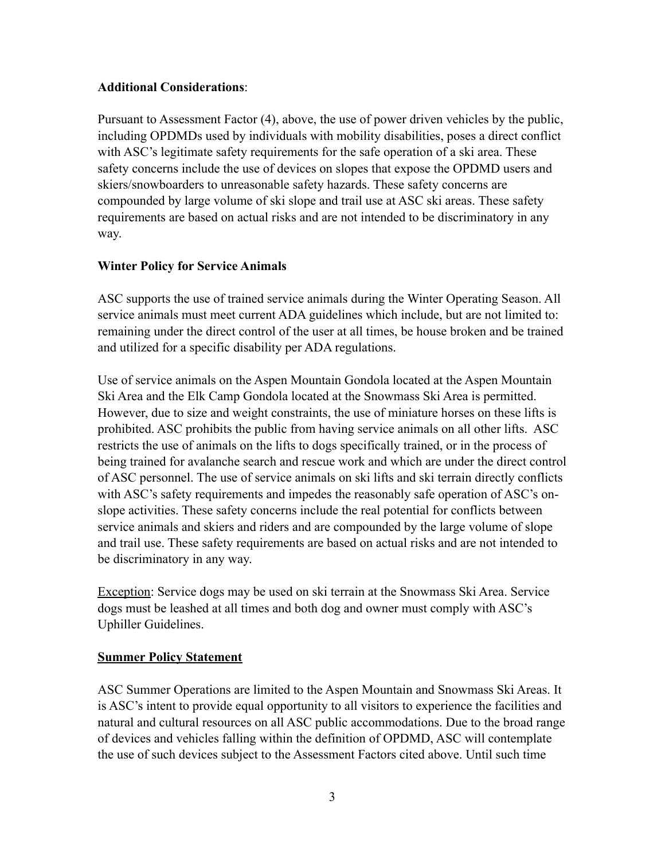#### **Additional Considerations**:

Pursuant to Assessment Factor (4), above, the use of power driven vehicles by the public, including OPDMDs used by individuals with mobility disabilities, poses a direct conflict with ASC's legitimate safety requirements for the safe operation of a ski area. These safety concerns include the use of devices on slopes that expose the OPDMD users and skiers/snowboarders to unreasonable safety hazards. These safety concerns are compounded by large volume of ski slope and trail use at ASC ski areas. These safety requirements are based on actual risks and are not intended to be discriminatory in any way.

## **Winter Policy for Service Animals**

ASC supports the use of trained service animals during the Winter Operating Season. All service animals must meet current ADA guidelines which include, but are not limited to: remaining under the direct control of the user at all times, be house broken and be trained and utilized for a specific disability per ADA regulations.

Use of service animals on the Aspen Mountain Gondola located at the Aspen Mountain Ski Area and the Elk Camp Gondola located at the Snowmass Ski Area is permitted. However, due to size and weight constraints, the use of miniature horses on these lifts is prohibited. ASC prohibits the public from having service animals on all other lifts. ASC restricts the use of animals on the lifts to dogs specifically trained, or in the process of being trained for avalanche search and rescue work and which are under the direct control of ASC personnel. The use of service animals on ski lifts and ski terrain directly conflicts with ASC's safety requirements and impedes the reasonably safe operation of ASC's onslope activities. These safety concerns include the real potential for conflicts between service animals and skiers and riders and are compounded by the large volume of slope and trail use. These safety requirements are based on actual risks and are not intended to be discriminatory in any way.

Exception: Service dogs may be used on ski terrain at the Snowmass Ski Area. Service dogs must be leashed at all times and both dog and owner must comply with ASC's Uphiller Guidelines.

#### **Summer Policy Statement**

ASC Summer Operations are limited to the Aspen Mountain and Snowmass Ski Areas. It is ASC's intent to provide equal opportunity to all visitors to experience the facilities and natural and cultural resources on all ASC public accommodations. Due to the broad range of devices and vehicles falling within the definition of OPDMD, ASC will contemplate the use of such devices subject to the Assessment Factors cited above. Until such time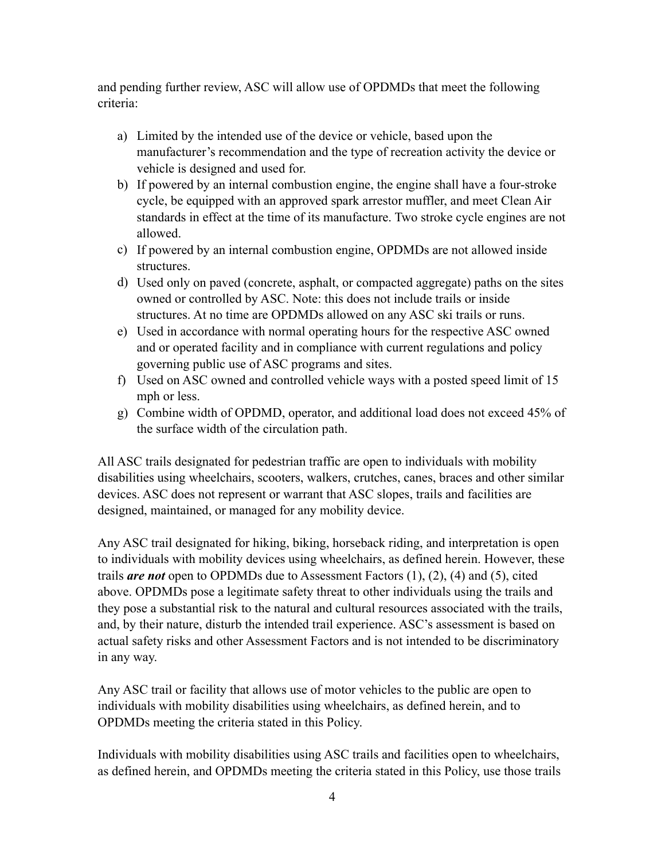and pending further review, ASC will allow use of OPDMDs that meet the following criteria:

- a) Limited by the intended use of the device or vehicle, based upon the manufacturer's recommendation and the type of recreation activity the device or vehicle is designed and used for.
- b) If powered by an internal combustion engine, the engine shall have a four-stroke cycle, be equipped with an approved spark arrestor muffler, and meet Clean Air standards in effect at the time of its manufacture. Two stroke cycle engines are not allowed.
- c) If powered by an internal combustion engine, OPDMDs are not allowed inside structures.
- d) Used only on paved (concrete, asphalt, or compacted aggregate) paths on the sites owned or controlled by ASC. Note: this does not include trails or inside structures. At no time are OPDMDs allowed on any ASC ski trails or runs.
- e) Used in accordance with normal operating hours for the respective ASC owned and or operated facility and in compliance with current regulations and policy governing public use of ASC programs and sites.
- f) Used on ASC owned and controlled vehicle ways with a posted speed limit of 15 mph or less.
- g) Combine width of OPDMD, operator, and additional load does not exceed 45% of the surface width of the circulation path.

All ASC trails designated for pedestrian traffic are open to individuals with mobility disabilities using wheelchairs, scooters, walkers, crutches, canes, braces and other similar devices. ASC does not represent or warrant that ASC slopes, trails and facilities are designed, maintained, or managed for any mobility device.

Any ASC trail designated for hiking, biking, horseback riding, and interpretation is open to individuals with mobility devices using wheelchairs, as defined herein. However, these trails *are not* open to OPDMDs due to Assessment Factors (1), (2), (4) and (5), cited above. OPDMDs pose a legitimate safety threat to other individuals using the trails and they pose a substantial risk to the natural and cultural resources associated with the trails, and, by their nature, disturb the intended trail experience. ASC's assessment is based on actual safety risks and other Assessment Factors and is not intended to be discriminatory in any way.

Any ASC trail or facility that allows use of motor vehicles to the public are open to individuals with mobility disabilities using wheelchairs, as defined herein, and to OPDMDs meeting the criteria stated in this Policy.

Individuals with mobility disabilities using ASC trails and facilities open to wheelchairs, as defined herein, and OPDMDs meeting the criteria stated in this Policy, use those trails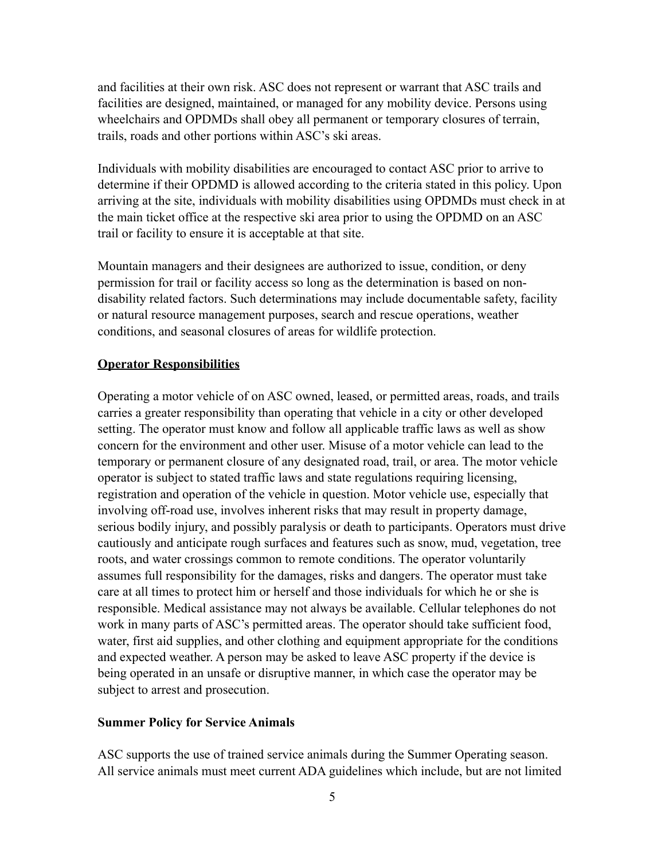and facilities at their own risk. ASC does not represent or warrant that ASC trails and facilities are designed, maintained, or managed for any mobility device. Persons using wheelchairs and OPDMDs shall obey all permanent or temporary closures of terrain, trails, roads and other portions within ASC's ski areas.

Individuals with mobility disabilities are encouraged to contact ASC prior to arrive to determine if their OPDMD is allowed according to the criteria stated in this policy. Upon arriving at the site, individuals with mobility disabilities using OPDMDs must check in at the main ticket office at the respective ski area prior to using the OPDMD on an ASC trail or facility to ensure it is acceptable at that site.

Mountain managers and their designees are authorized to issue, condition, or deny permission for trail or facility access so long as the determination is based on nondisability related factors. Such determinations may include documentable safety, facility or natural resource management purposes, search and rescue operations, weather conditions, and seasonal closures of areas for wildlife protection.

#### **Operator Responsibilities**

Operating a motor vehicle of on ASC owned, leased, or permitted areas, roads, and trails carries a greater responsibility than operating that vehicle in a city or other developed setting. The operator must know and follow all applicable traffic laws as well as show concern for the environment and other user. Misuse of a motor vehicle can lead to the temporary or permanent closure of any designated road, trail, or area. The motor vehicle operator is subject to stated traffic laws and state regulations requiring licensing, registration and operation of the vehicle in question. Motor vehicle use, especially that involving off-road use, involves inherent risks that may result in property damage, serious bodily injury, and possibly paralysis or death to participants. Operators must drive cautiously and anticipate rough surfaces and features such as snow, mud, vegetation, tree roots, and water crossings common to remote conditions. The operator voluntarily assumes full responsibility for the damages, risks and dangers. The operator must take care at all times to protect him or herself and those individuals for which he or she is responsible. Medical assistance may not always be available. Cellular telephones do not work in many parts of ASC's permitted areas. The operator should take sufficient food, water, first aid supplies, and other clothing and equipment appropriate for the conditions and expected weather. A person may be asked to leave ASC property if the device is being operated in an unsafe or disruptive manner, in which case the operator may be subject to arrest and prosecution.

#### **Summer Policy for Service Animals**

ASC supports the use of trained service animals during the Summer Operating season. All service animals must meet current ADA guidelines which include, but are not limited